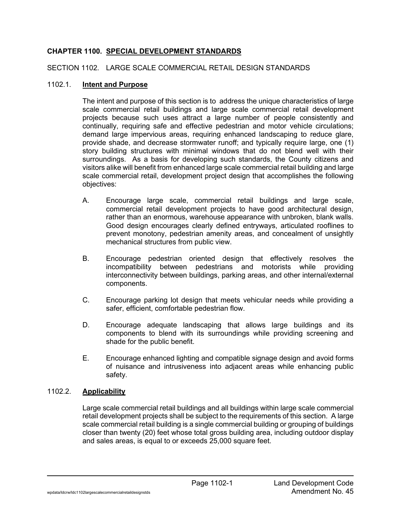## **CHAPTER 1100. SPECIAL DEVELOPMENT STANDARDS**

### SECTION 1102. LARGE SCALE COMMERCIAL RETAIL DESIGN STANDARDS

### 1102.1. **Intent and Purpose**

The intent and purpose of this section is to address the unique characteristics of large scale commercial retail buildings and large scale commercial retail development projects because such uses attract a large number of people consistently and continually, requiring safe and effective pedestrian and motor vehicle circulations; demand large impervious areas, requiring enhanced landscaping to reduce glare, provide shade, and decrease stormwater runoff; and typically require large, one (1) story building structures with minimal windows that do not blend well with their surroundings. As a basis for developing such standards, the County citizens and visitors alike will benefit from enhanced large scale commercial retail building and large scale commercial retail, development project design that accomplishes the following objectives:

- A. Encourage large scale, commercial retail buildings and large scale, commercial retail development projects to have good architectural design, rather than an enormous, warehouse appearance with unbroken, blank walls. Good design encourages clearly defined entryways, articulated rooflines to prevent monotony, pedestrian amenity areas, and concealment of unsightly mechanical structures from public view.
- B. Encourage pedestrian oriented design that effectively resolves the incompatibility between pedestrians and motorists while providing interconnectivity between buildings, parking areas, and other internal/external components.
- C. Encourage parking lot design that meets vehicular needs while providing a safer, efficient, comfortable pedestrian flow.
- D. Encourage adequate landscaping that allows large buildings and its components to blend with its surroundings while providing screening and shade for the public benefit.
- E. Encourage enhanced lighting and compatible signage design and avoid forms of nuisance and intrusiveness into adjacent areas while enhancing public safety.

# 1102.2. **Applicability**

Large scale commercial retail buildings and all buildings within large scale commercial retail development projects shall be subject to the requirements of this section. A large scale commercial retail building is a single commercial building or grouping of buildings closer than twenty (20) feet whose total gross building area, including outdoor display and sales areas, is equal to or exceeds 25,000 square feet.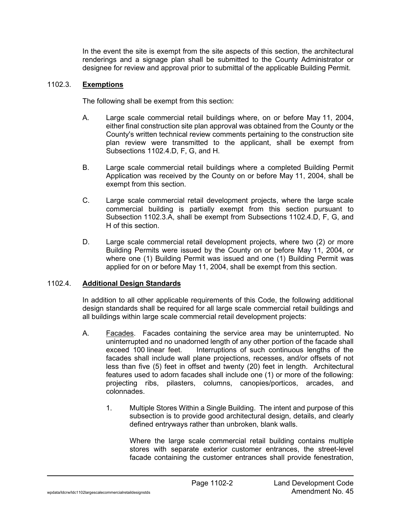In the event the site is exempt from the site aspects of this section, the architectural renderings and a signage plan shall be submitted to the County Administrator or designee for review and approval prior to submittal of the applicable Building Permit.

### 1102.3. **Exemptions**

The following shall be exempt from this section:

- A. Large scale commercial retail buildings where, on or before May 11, 2004, either final construction site plan approval was obtained from the County or the County's written technical review comments pertaining to the construction site plan review were transmitted to the applicant, shall be exempt from Subsections 1102.4.D, F, G, and H.
- B. Large scale commercial retail buildings where a completed Building Permit Application was received by the County on or before May 11, 2004, shall be exempt from this section.
- C. Large scale commercial retail development projects, where the large scale commercial building is partially exempt from this section pursuant to Subsection 1102.3.A, shall be exempt from Subsections 1102.4.D, F, G, and H of this section.
- D. Large scale commercial retail development projects, where two (2) or more Building Permits were issued by the County on or before May 11, 2004, or where one (1) Building Permit was issued and one (1) Building Permit was applied for on or before May 11, 2004, shall be exempt from this section.

### 1102.4. **Additional Design Standards**

In addition to all other applicable requirements of this Code, the following additional design standards shall be required for all large scale commercial retail buildings and all buildings within large scale commercial retail development projects:

- A. Facades. Facades containing the service area may be uninterrupted. No uninterrupted and no unadorned length of any other portion of the facade shall exceed 100 linear feet. Interruptions of such continuous lengths of the facades shall include wall plane projections, recesses, and/or offsets of not less than five (5) feet in offset and twenty (20) feet in length. Architectural features used to adorn facades shall include one (1) or more of the following: projecting ribs, pilasters, columns, canopies/porticos, arcades, and colonnades.
	- 1. Multiple Stores Within a Single Building. The intent and purpose of this subsection is to provide good architectural design, details, and clearly defined entryways rather than unbroken, blank walls.

Where the large scale commercial retail building contains multiple stores with separate exterior customer entrances, the street-level facade containing the customer entrances shall provide fenestration,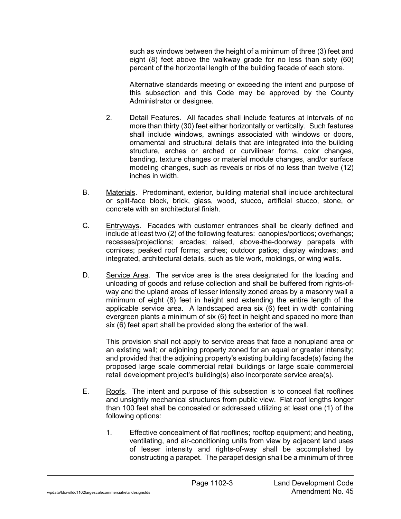such as windows between the height of a minimum of three (3) feet and eight (8) feet above the walkway grade for no less than sixty (60) percent of the horizontal length of the building facade of each store.

Alternative standards meeting or exceeding the intent and purpose of this subsection and this Code may be approved by the County Administrator or designee.

- 2. Detail Features. All facades shall include features at intervals of no more than thirty (30) feet either horizontally or vertically. Such features shall include windows, awnings associated with windows or doors, ornamental and structural details that are integrated into the building structure, arches or arched or curvilinear forms, color changes, banding, texture changes or material module changes, and/or surface modeling changes, such as reveals or ribs of no less than twelve (12) inches in width.
- B. Materials. Predominant, exterior, building material shall include architectural or split-face block, brick, glass, wood, stucco, artificial stucco, stone, or concrete with an architectural finish.
- C. Entryways. Facades with customer entrances shall be clearly defined and include at least two (2) of the following features: canopies/porticos; overhangs; recesses/projections; arcades; raised, above-the-doorway parapets with cornices; peaked roof forms; arches; outdoor patios; display windows; and integrated, architectural details, such as tile work, moldings, or wing walls.
- D. Service Area. The service area is the area designated for the loading and unloading of goods and refuse collection and shall be buffered from rights-ofway and the upland areas of lesser intensity zoned areas by a masonry wall a minimum of eight (8) feet in height and extending the entire length of the applicable service area. A landscaped area six (6) feet in width containing evergreen plants a minimum of six (6) feet in height and spaced no more than six (6) feet apart shall be provided along the exterior of the wall.

This provision shall not apply to service areas that face a nonupland area or an existing wall; or adjoining property zoned for an equal or greater intensity; and provided that the adjoining property's existing building facade(s) facing the proposed large scale commercial retail buildings or large scale commercial retail development project's building(s) also incorporate service area(s).

- E. Roofs. The intent and purpose of this subsection is to conceal flat rooflines and unsightly mechanical structures from public view. Flat roof lengths longer than 100 feet shall be concealed or addressed utilizing at least one (1) of the following options:
	- 1. Effective concealment of flat rooflines; rooftop equipment; and heating, ventilating, and air-conditioning units from view by adjacent land uses of lesser intensity and rights-of-way shall be accomplished by constructing a parapet. The parapet design shall be a minimum of three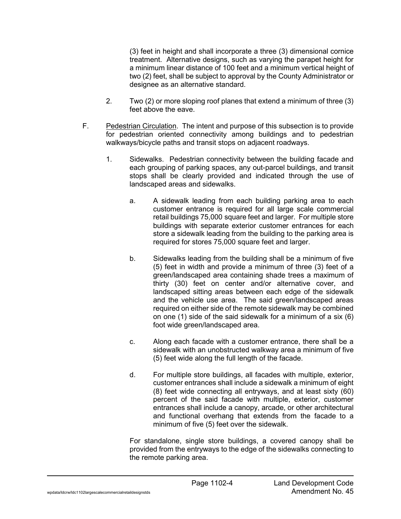(3) feet in height and shall incorporate a three (3) dimensional cornice treatment. Alternative designs, such as varying the parapet height for a minimum linear distance of 100 feet and a minimum vertical height of two (2) feet, shall be subject to approval by the County Administrator or designee as an alternative standard.

- 2. Two (2) or more sloping roof planes that extend a minimum of three (3) feet above the eave.
- F. Pedestrian Circulation. The intent and purpose of this subsection is to provide for pedestrian oriented connectivity among buildings and to pedestrian walkways/bicycle paths and transit stops on adjacent roadways.
	- 1. Sidewalks. Pedestrian connectivity between the building facade and each grouping of parking spaces, any out-parcel buildings, and transit stops shall be clearly provided and indicated through the use of landscaped areas and sidewalks.
		- a. A sidewalk leading from each building parking area to each customer entrance is required for all large scale commercial retail buildings 75,000 square feet and larger. For multiple store buildings with separate exterior customer entrances for each store a sidewalk leading from the building to the parking area is required for stores 75,000 square feet and larger.
		- b. Sidewalks leading from the building shall be a minimum of five (5) feet in width and provide a minimum of three (3) feet of a green/landscaped area containing shade trees a maximum of thirty (30) feet on center and/or alternative cover, and landscaped sitting areas between each edge of the sidewalk and the vehicle use area. The said green/landscaped areas required on either side of the remote sidewalk may be combined on one (1) side of the said sidewalk for a minimum of a six (6) foot wide green/landscaped area.
		- c. Along each facade with a customer entrance, there shall be a sidewalk with an unobstructed walkway area a minimum of five (5) feet wide along the full length of the facade.
		- d. For multiple store buildings, all facades with multiple, exterior, customer entrances shall include a sidewalk a minimum of eight (8) feet wide connecting all entryways, and at least sixty (60) percent of the said facade with multiple, exterior, customer entrances shall include a canopy, arcade, or other architectural and functional overhang that extends from the facade to a minimum of five (5) feet over the sidewalk.

For standalone, single store buildings, a covered canopy shall be provided from the entryways to the edge of the sidewalks connecting to the remote parking area.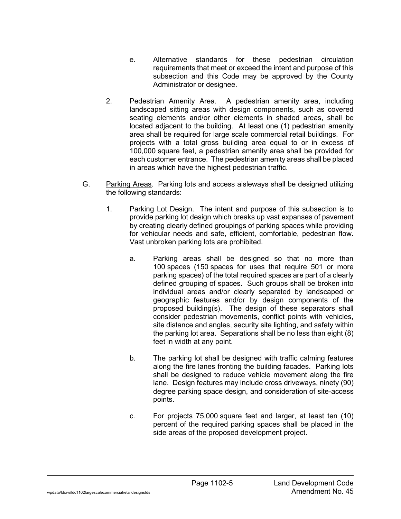- e. Alternative standards for these pedestrian circulation requirements that meet or exceed the intent and purpose of this subsection and this Code may be approved by the County Administrator or designee.
- 2. Pedestrian Amenity Area. A pedestrian amenity area, including landscaped sitting areas with design components, such as covered seating elements and/or other elements in shaded areas, shall be located adjacent to the building. At least one (1) pedestrian amenity area shall be required for large scale commercial retail buildings. For projects with a total gross building area equal to or in excess of 100,000 square feet, a pedestrian amenity area shall be provided for each customer entrance. The pedestrian amenity areas shall be placed in areas which have the highest pedestrian traffic.
- G. Parking Areas. Parking lots and access aisleways shall be designed utilizing the following standards:
	- 1. Parking Lot Design. The intent and purpose of this subsection is to provide parking lot design which breaks up vast expanses of pavement by creating clearly defined groupings of parking spaces while providing for vehicular needs and safe, efficient, comfortable, pedestrian flow. Vast unbroken parking lots are prohibited.
		- a. Parking areas shall be designed so that no more than 100 spaces (150 spaces for uses that require 501 or more parking spaces) of the total required spaces are part of a clearly defined grouping of spaces. Such groups shall be broken into individual areas and/or clearly separated by landscaped or geographic features and/or by design components of the proposed building(s). The design of these separators shall consider pedestrian movements, conflict points with vehicles, site distance and angles, security site lighting, and safety within the parking lot area. Separations shall be no less than eight (8) feet in width at any point.
		- b. The parking lot shall be designed with traffic calming features along the fire lanes fronting the building facades. Parking lots shall be designed to reduce vehicle movement along the fire lane. Design features may include cross driveways, ninety (90) degree parking space design, and consideration of site-access points.
		- c. For projects 75,000 square feet and larger, at least ten (10) percent of the required parking spaces shall be placed in the side areas of the proposed development project.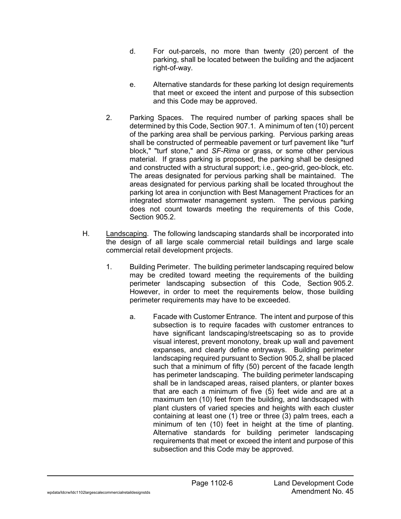- d. For out-parcels, no more than twenty (20) percent of the parking, shall be located between the building and the adjacent right-of-way.
- e. Alternative standards for these parking lot design requirements that meet or exceed the intent and purpose of this subsection and this Code may be approved.
- 2. Parking Spaces. The required number of parking spaces shall be determined by this Code, Section 907.1. A minimum of ten (10) percent of the parking area shall be pervious parking. Pervious parking areas shall be constructed of permeable pavement or turf pavement like "turf block," "turf stone," and *SF-Rima* or grass, or some other pervious material. If grass parking is proposed, the parking shall be designed and constructed with a structural support; i.e., geo-grid, geo-block, etc. The areas designated for pervious parking shall be maintained. The areas designated for pervious parking shall be located throughout the parking lot area in conjunction with Best Management Practices for an integrated stormwater management system. The pervious parking does not count towards meeting the requirements of this Code, Section 905.2.
- H. Landscaping. The following landscaping standards shall be incorporated into the design of all large scale commercial retail buildings and large scale commercial retail development projects.
	- 1. Building Perimeter. The building perimeter landscaping required below may be credited toward meeting the requirements of the building perimeter landscaping subsection of this Code, Section 905.2. However, in order to meet the requirements below, those building perimeter requirements may have to be exceeded.
		- a. Facade with Customer Entrance. The intent and purpose of this subsection is to require facades with customer entrances to have significant landscaping/streetscaping so as to provide visual interest, prevent monotony, break up wall and pavement expanses, and clearly define entryways. Building perimeter landscaping required pursuant to Section 905.2, shall be placed such that a minimum of fifty (50) percent of the facade length has perimeter landscaping. The building perimeter landscaping shall be in landscaped areas, raised planters, or planter boxes that are each a minimum of five (5) feet wide and are at a maximum ten (10) feet from the building, and landscaped with plant clusters of varied species and heights with each cluster containing at least one (1) tree or three (3) palm trees, each a minimum of ten (10) feet in height at the time of planting. Alternative standards for building perimeter landscaping requirements that meet or exceed the intent and purpose of this subsection and this Code may be approved.